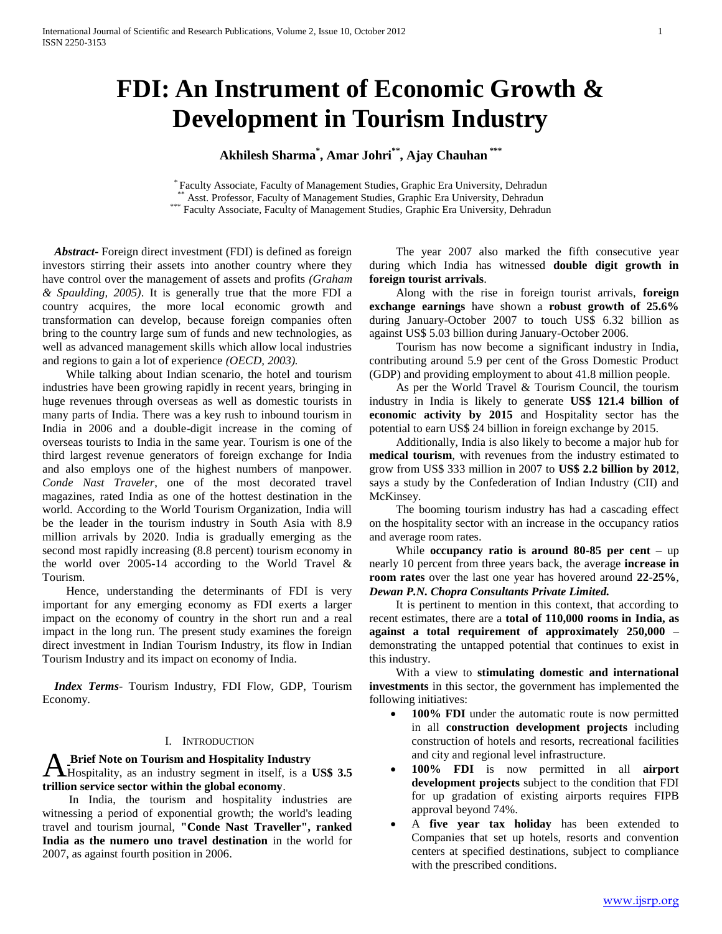# **FDI: An Instrument of Economic Growth & Development in Tourism Industry**

**Akhilesh Sharma\* , Amar Johri\*\* , Ajay Chauhan \*\*\***

\* Faculty Associate, Faculty of Management Studies, Graphic Era University, Dehradun Asst. Professor, Faculty of Management Studies, Graphic Era University, Dehradun \*\*\* Faculty Associate, Faculty of Management Studies, Graphic Era University, Dehradun

 *Abstract***-** Foreign direct investment (FDI) is defined as foreign investors stirring their assets into another country where they have control over the management of assets and profits *(Graham & Spaulding, 2005)*. It is generally true that the more FDI a country acquires, the more local economic growth and transformation can develop, because foreign companies often bring to the country large sum of funds and new technologies, as well as advanced management skills which allow local industries and regions to gain a lot of experience *(OECD, 2003).*

 While talking about Indian scenario, the hotel and tourism industries have been growing rapidly in recent years, bringing in huge revenues through overseas as well as domestic tourists in many parts of India. There was a key rush to inbound tourism in India in 2006 and a double-digit increase in the coming of overseas tourists to India in the same year. Tourism is one of the third largest revenue generators of foreign exchange for India and also employs one of the highest numbers of manpower. *Conde Nast Traveler*, one of the most decorated travel magazines, rated India as one of the hottest destination in the world. According to the World Tourism Organization, India will be the leader in the tourism industry in South Asia with 8.9 million arrivals by 2020. India is gradually emerging as the second most rapidly increasing (8.8 percent) tourism economy in the world over 2005-14 according to the World Travel & Tourism.

 Hence, understanding the determinants of FDI is very important for any emerging economy as FDI exerts a larger impact on the economy of country in the short run and a real impact in the long run. The present study examines the foreign direct investment in Indian Tourism Industry, its flow in Indian Tourism Industry and its impact on economy of India.

 *Index Terms*- Tourism Industry, FDI Flow, GDP, Tourism Economy.

## I. INTRODUCTION

**Brief Note on Tourism and Hospitality Industry** A Brief Note on Tourism and Hospitality Industry<br>Hospitality, as an industry segment in itself, is a US\$ 3.5 **trillion service sector within the global economy**.

 In India, the tourism and hospitality industries are witnessing a period of exponential growth; the world's leading travel and tourism journal, **"Conde Nast Traveller", ranked India as the numero uno travel destination** in the world for 2007, as against fourth position in 2006.

 The year 2007 also marked the fifth consecutive year during which India has witnessed **double digit growth in foreign tourist arrivals**.

 Along with the rise in foreign tourist arrivals, **foreign exchange earnings** have shown a **robust growth of 25.6%**  during January-October 2007 to touch US\$ 6.32 billion as against US\$ 5.03 billion during January-October 2006.

 Tourism has now become a significant industry in India, contributing around 5.9 per cent of the Gross Domestic Product (GDP) and providing employment to about 41.8 million people.

 As per the World Travel & Tourism Council, the tourism industry in India is likely to generate **US\$ 121.4 billion of economic activity by 2015** and Hospitality sector has the potential to earn US\$ 24 billion in foreign exchange by 2015.

 Additionally, India is also likely to become a major hub for **medical tourism**, with revenues from the industry estimated to grow from US\$ 333 million in 2007 to **US\$ 2.2 billion by 2012**, says a study by the Confederation of Indian Industry (CII) and McKinsey.

 The booming tourism industry has had a cascading effect on the hospitality sector with an increase in the occupancy ratios and average room rates.

While **occupancy ratio is around 80-85 per cent**  $-$  up nearly 10 percent from three years back, the average **increase in room rates** over the last one year has hovered around **22-25%**, *Dewan P.N. Chopra Consultants Private Limited.*

 It is pertinent to mention in this context, that according to recent estimates, there are a **total of 110,000 rooms in India, as against a total requirement of approximately 250,000** – demonstrating the untapped potential that continues to exist in this industry.

 With a view to **stimulating domestic and international investments** in this sector, the government has implemented the following initiatives:

- **100% FDI** under the automatic route is now permitted in all **construction development projects** including construction of hotels and resorts, recreational facilities and city and regional level infrastructure.
- **100% FDI** is now permitted in all **airport development projects** subject to the condition that FDI for up gradation of existing airports requires FIPB approval beyond 74%.
- A **five year tax holiday** has been extended to Companies that set up hotels, resorts and convention centers at specified destinations, subject to compliance with the prescribed conditions.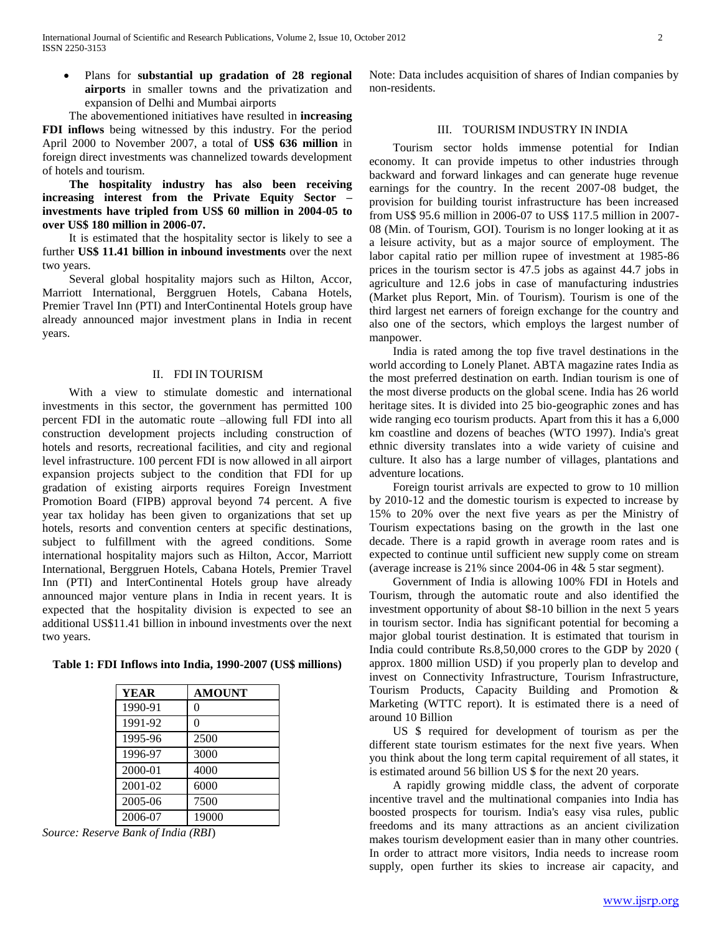Plans for **substantial up gradation of 28 regional airports** in smaller towns and the privatization and expansion of Delhi and Mumbai airports

 The abovementioned initiatives have resulted in **increasing FDI inflows** being witnessed by this industry. For the period April 2000 to November 2007, a total of **US\$ 636 million** in foreign direct investments was channelized towards development of hotels and tourism.

 **The hospitality industry has also been receiving increasing interest from the Private Equity Sector – investments have tripled from US\$ 60 million in 2004-05 to over US\$ 180 million in 2006-07.**

 It is estimated that the hospitality sector is likely to see a further **US\$ 11.41 billion in inbound investments** over the next two years.

 Several global hospitality majors such as Hilton, Accor, Marriott International, Berggruen Hotels, Cabana Hotels, Premier Travel Inn (PTI) and InterContinental Hotels group have already announced major investment plans in India in recent years.

## II. FDI IN TOURISM

 With a view to stimulate domestic and international investments in this sector, the government has permitted 100 percent FDI in the automatic route –allowing full FDI into all construction development projects including construction of hotels and resorts, recreational facilities, and city and regional level infrastructure. 100 percent FDI is now allowed in all airport expansion projects subject to the condition that FDI for up gradation of existing airports requires Foreign Investment Promotion Board (FIPB) approval beyond 74 percent. A five year tax holiday has been given to organizations that set up hotels, resorts and convention centers at specific destinations, subject to fulfillment with the agreed conditions. Some international hospitality majors such as Hilton, Accor, Marriott International, Berggruen Hotels, Cabana Hotels, Premier Travel Inn (PTI) and InterContinental Hotels group have already announced major venture plans in India in recent years. It is expected that the hospitality division is expected to see an additional US\$11.41 billion in inbound investments over the next two years.

**Table 1: FDI Inflows into India, 1990-2007 (US\$ millions)**

| <b>YEAR</b> | <b>AMOUNT</b> |
|-------------|---------------|
| 1990-91     | 0             |
| 1991-92     | 0             |
| 1995-96     | 2500          |
| 1996-97     | 3000          |
| 2000-01     | 4000          |
| 2001-02     | 6000          |
| 2005-06     | 7500          |
| 2006-07     | 19000         |

*Source: Reserve Bank of India (RBI*)

Note: Data includes acquisition of shares of Indian companies by non-residents.

## III. TOURISM INDUSTRY IN INDIA

 Tourism sector holds immense potential for Indian economy. It can provide impetus to other industries through backward and forward linkages and can generate huge revenue earnings for the country. In the recent 2007-08 budget, the provision for building tourist infrastructure has been increased from US\$ 95.6 million in 2006-07 to US\$ 117.5 million in 2007- 08 (Min. of Tourism, GOI). Tourism is no longer looking at it as a leisure activity, but as a major source of employment. The labor capital ratio per million rupee of investment at 1985-86 prices in the tourism sector is 47.5 jobs as against 44.7 jobs in agriculture and 12.6 jobs in case of manufacturing industries (Market plus Report, Min. of Tourism). Tourism is one of the third largest net earners of foreign exchange for the country and also one of the sectors, which employs the largest number of manpower.

 India is rated among the top five travel destinations in the world according to Lonely Planet. ABTA magazine rates India as the most preferred destination on earth. Indian tourism is one of the most diverse products on the global scene. India has 26 world heritage sites. It is divided into 25 bio-geographic zones and has wide ranging eco tourism products. Apart from this it has a 6,000 km coastline and dozens of beaches (WTO 1997). India's great ethnic diversity translates into a wide variety of cuisine and culture. It also has a large number of villages, plantations and adventure locations.

 Foreign tourist arrivals are expected to grow to 10 million by 2010-12 and the domestic tourism is expected to increase by 15% to 20% over the next five years as per the Ministry of Tourism expectations basing on the growth in the last one decade. There is a rapid growth in average room rates and is expected to continue until sufficient new supply come on stream (average increase is 21% since 2004-06 in 4& 5 star segment).

 Government of India is allowing 100% FDI in Hotels and Tourism, through the automatic route and also identified the investment opportunity of about \$8-10 billion in the next 5 years in tourism sector. India has significant potential for becoming a major global tourist destination. It is estimated that tourism in India could contribute Rs.8,50,000 crores to the GDP by 2020 ( approx. 1800 million USD) if you properly plan to develop and invest on Connectivity Infrastructure, Tourism Infrastructure, Tourism Products, Capacity Building and Promotion & Marketing (WTTC report). It is estimated there is a need of around 10 Billion

 US \$ required for development of tourism as per the different state tourism estimates for the next five years. When you think about the long term capital requirement of all states, it is estimated around 56 billion US \$ for the next 20 years.

 A rapidly growing middle class, the advent of corporate incentive travel and the multinational companies into India has boosted prospects for tourism. India's easy visa rules, public freedoms and its many attractions as an ancient civilization makes tourism development easier than in many other countries. In order to attract more visitors, India needs to increase room supply, open further its skies to increase air capacity, and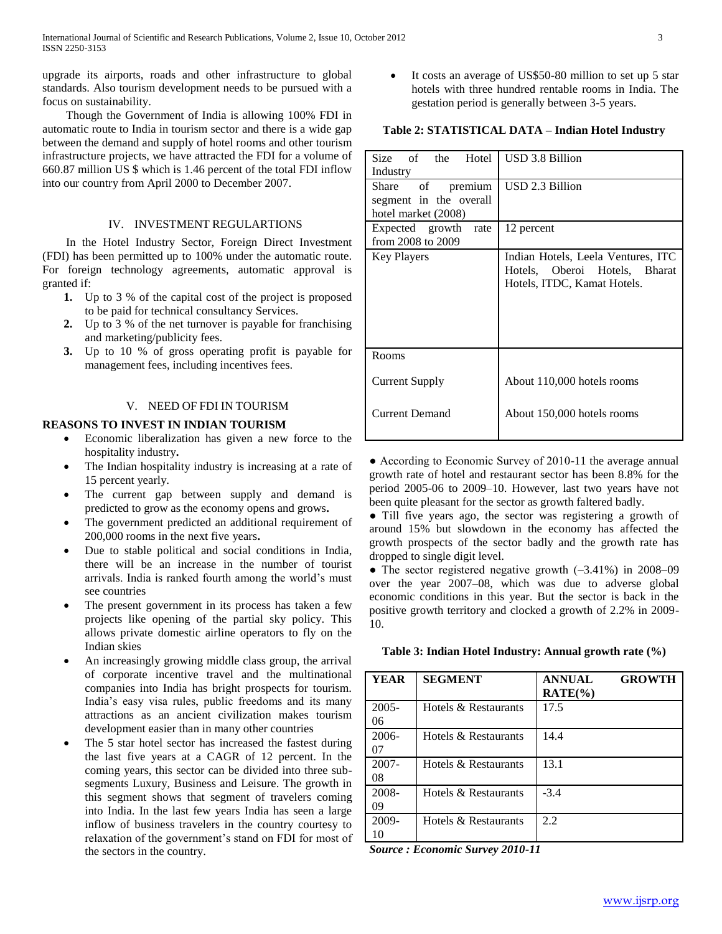upgrade its airports, roads and other infrastructure to global standards. Also tourism development needs to be pursued with a focus on sustainability.

 Though the Government of India is allowing 100% FDI in automatic route to India in tourism sector and there is a wide gap between the demand and supply of hotel rooms and other tourism infrastructure projects, we have attracted the FDI for a volume of 660.87 million US \$ which is 1.46 percent of the total FDI inflow into our country from April 2000 to December 2007.

# IV. INVESTMENT REGULARTIONS

 In the Hotel Industry Sector, Foreign Direct Investment (FDI) has been permitted up to 100% under the automatic route. For foreign technology agreements, automatic approval is granted if:

- **1.** Up to 3 % of the capital cost of the project is proposed to be paid for technical consultancy Services.
- **2.** Up to 3 % of the net turnover is payable for franchising and marketing/publicity fees.
- **3.** Up to 10 % of gross operating profit is payable for management fees, including incentives fees.

# V. NEED OF FDI IN TOURISM

# **REASONS TO INVEST IN INDIAN TOURISM**

- Economic liberalization has given a new force to the hospitality industry**.**
- The Indian hospitality industry is increasing at a rate of 15 percent yearly.
- The current gap between supply and demand is predicted to grow as the economy opens and grows**.**
- The government predicted an additional requirement of 200,000 rooms in the next five years**.**
- Due to stable political and social conditions in India, there will be an increase in the number of tourist arrivals. India is ranked fourth among the world"s must see countries
- The present government in its process has taken a few projects like opening of the partial sky policy. This allows private domestic airline operators to fly on the Indian skies
- An increasingly growing middle class group, the arrival of corporate incentive travel and the multinational companies into India has bright prospects for tourism. India"s easy visa rules, public freedoms and its many attractions as an ancient civilization makes tourism development easier than in many other countries
- The 5 star hotel sector has increased the fastest during the last five years at a CAGR of 12 percent. In the coming years, this sector can be divided into three subsegments Luxury, Business and Leisure. The growth in this segment shows that segment of travelers coming into India. In the last few years India has seen a large inflow of business travelers in the country courtesy to relaxation of the government"s stand on FDI for most of the sectors in the country.

 It costs an average of US\$50-80 million to set up 5 star hotels with three hundred rentable rooms in India. The gestation period is generally between 3-5 years.

## **Table 2: STATISTICAL DATA – Indian Hotel Industry**

| Size of the Hotel<br>Industry                                     | USD 3.8 Billion                                                                                    |  |
|-------------------------------------------------------------------|----------------------------------------------------------------------------------------------------|--|
| Share of premium<br>segment in the overall<br>hotel market (2008) | USD 2.3 Billion                                                                                    |  |
| Expected growth rate<br>from 2008 to 2009                         | 12 percent                                                                                         |  |
| <b>Key Players</b>                                                | Indian Hotels, Leela Ventures, ITC<br>Hotels, Oberoi Hotels, Bharat<br>Hotels, ITDC, Kamat Hotels. |  |
| Rooms                                                             |                                                                                                    |  |
| Current Supply                                                    | About 110,000 hotels rooms                                                                         |  |
| <b>Current Demand</b>                                             | About 150,000 hotels rooms                                                                         |  |

● According to Economic Survey of 2010-11 the average annual growth rate of hotel and restaurant sector has been 8.8% for the period 2005-06 to 2009–10. However, last two years have not been quite pleasant for the sector as growth faltered badly.

● Till five years ago, the sector was registering a growth of around 15% but slowdown in the economy has affected the growth prospects of the sector badly and the growth rate has dropped to single digit level.

● The sector registered negative growth (–3.41%) in 2008–09 over the year 2007–08, which was due to adverse global economic conditions in this year. But the sector is back in the positive growth territory and clocked a growth of 2.2% in 2009- 10.

**Table 3: Indian Hotel Industry: Annual growth rate (%)**

| YEAR           | <b>SEGMENT</b>       | <b>ANNUAL</b><br><b>GROWTH</b><br>$\text{RATE}(\% )$ |  |
|----------------|----------------------|------------------------------------------------------|--|
| $2005 -$<br>06 | Hotels & Restaurants | 17.5                                                 |  |
| 2006-<br>07    | Hotels & Restaurants | 14.4                                                 |  |
| 2007-<br>08    | Hotels & Restaurants | 13.1                                                 |  |
| 2008-<br>09    | Hotels & Restaurants | $-3.4$                                               |  |
| 2009-<br>10    | Hotels & Restaurants | 2.2                                                  |  |

*Source : Economic Survey 2010-11*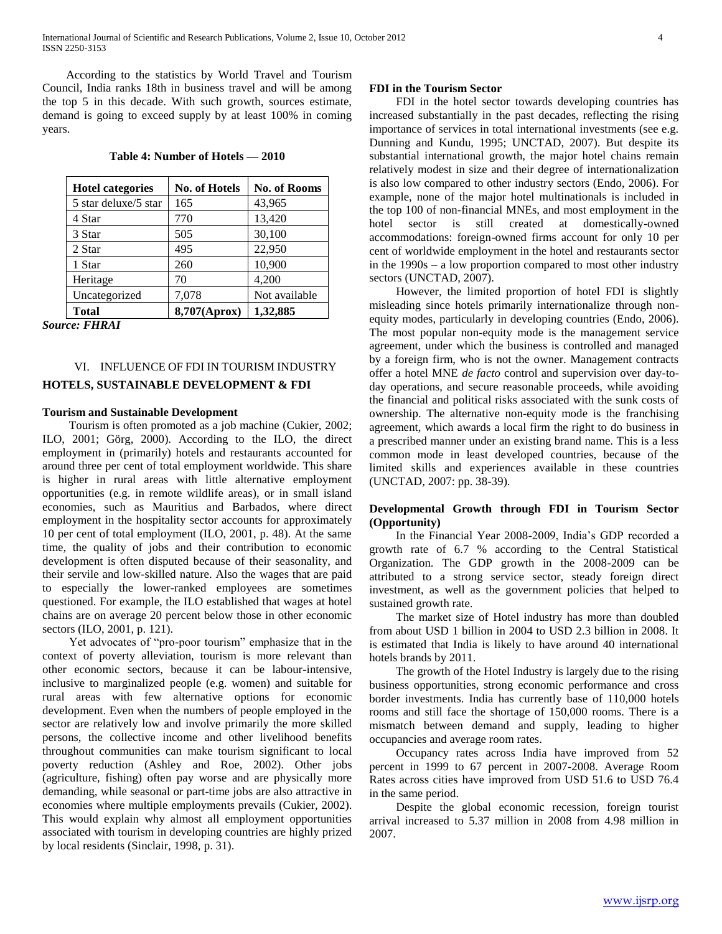According to the statistics by World Travel and Tourism Council, India ranks 18th in business travel and will be among the top 5 in this decade. With such growth, sources estimate, demand is going to exceed supply by at least 100% in coming years.

| Table 4: Number of Hotels – 2010 |  |  |
|----------------------------------|--|--|
|----------------------------------|--|--|

| <b>Hotel categories</b> | <b>No. of Hotels</b> | <b>No. of Rooms</b> |
|-------------------------|----------------------|---------------------|
| 5 star deluxe/5 star    | 165                  | 43,965              |
| 4 Star                  | 770                  | 13,420              |
| 3 Star                  | 505                  | 30,100              |
| 2 Star                  | 495                  | 22,950              |
| 1 Star                  | 260                  | 10,900              |
| Heritage                | 70                   | 4,200               |
| Uncategorized           | 7,078                | Not available       |
| <b>Total</b>            | 8,707(Aprox)         | 1,32,885            |

*Source: FHRAI*

# VI. INFLUENCE OF FDI IN TOURISM INDUSTRY **HOTELS, SUSTAINABLE DEVELOPMENT & FDI**

## **Tourism and Sustainable Development**

 Tourism is often promoted as a job machine (Cukier, 2002; ILO, 2001; Görg, 2000). According to the ILO, the direct employment in (primarily) hotels and restaurants accounted for around three per cent of total employment worldwide. This share is higher in rural areas with little alternative employment opportunities (e.g. in remote wildlife areas), or in small island economies, such as Mauritius and Barbados, where direct employment in the hospitality sector accounts for approximately 10 per cent of total employment (ILO, 2001, p. 48). At the same time, the quality of jobs and their contribution to economic development is often disputed because of their seasonality, and their servile and low-skilled nature. Also the wages that are paid to especially the lower-ranked employees are sometimes questioned. For example, the ILO established that wages at hotel chains are on average 20 percent below those in other economic sectors (ILO, 2001, p. 121).

 Yet advocates of "pro-poor tourism" emphasize that in the context of poverty alleviation, tourism is more relevant than other economic sectors, because it can be labour-intensive, inclusive to marginalized people (e.g. women) and suitable for rural areas with few alternative options for economic development. Even when the numbers of people employed in the sector are relatively low and involve primarily the more skilled persons, the collective income and other livelihood benefits throughout communities can make tourism significant to local poverty reduction (Ashley and Roe, 2002). Other jobs (agriculture, fishing) often pay worse and are physically more demanding, while seasonal or part-time jobs are also attractive in economies where multiple employments prevails (Cukier, 2002). This would explain why almost all employment opportunities associated with tourism in developing countries are highly prized by local residents (Sinclair, 1998, p. 31).

## **FDI in the Tourism Sector**

 FDI in the hotel sector towards developing countries has increased substantially in the past decades, reflecting the rising importance of services in total international investments (see e.g. Dunning and Kundu, 1995; UNCTAD, 2007). But despite its substantial international growth, the major hotel chains remain relatively modest in size and their degree of internationalization is also low compared to other industry sectors (Endo, 2006). For example, none of the major hotel multinationals is included in the top 100 of non-financial MNEs, and most employment in the hotel sector is still created at domestically-owned accommodations: foreign-owned firms account for only 10 per cent of worldwide employment in the hotel and restaurants sector in the 1990s – a low proportion compared to most other industry sectors (UNCTAD, 2007).

 However, the limited proportion of hotel FDI is slightly misleading since hotels primarily internationalize through nonequity modes, particularly in developing countries (Endo, 2006). The most popular non-equity mode is the management service agreement, under which the business is controlled and managed by a foreign firm, who is not the owner. Management contracts offer a hotel MNE *de facto* control and supervision over day-today operations, and secure reasonable proceeds, while avoiding the financial and political risks associated with the sunk costs of ownership. The alternative non-equity mode is the franchising agreement, which awards a local firm the right to do business in a prescribed manner under an existing brand name. This is a less common mode in least developed countries, because of the limited skills and experiences available in these countries (UNCTAD, 2007: pp. 38-39).

# **Developmental Growth through FDI in Tourism Sector (Opportunity)**

 In the Financial Year 2008-2009, India"s GDP recorded a growth rate of 6.7 % according to the Central Statistical Organization. The GDP growth in the 2008-2009 can be attributed to a strong service sector, steady foreign direct investment, as well as the government policies that helped to sustained growth rate.

 The market size of Hotel industry has more than doubled from about USD 1 billion in 2004 to USD 2.3 billion in 2008. It is estimated that India is likely to have around 40 international hotels brands by 2011.

 The growth of the Hotel Industry is largely due to the rising business opportunities, strong economic performance and cross border investments. India has currently base of 110,000 hotels rooms and still face the shortage of 150,000 rooms. There is a mismatch between demand and supply, leading to higher occupancies and average room rates.

 Occupancy rates across India have improved from 52 percent in 1999 to 67 percent in 2007-2008. Average Room Rates across cities have improved from USD 51.6 to USD 76.4 in the same period.

 Despite the global economic recession, foreign tourist arrival increased to 5.37 million in 2008 from 4.98 million in 2007.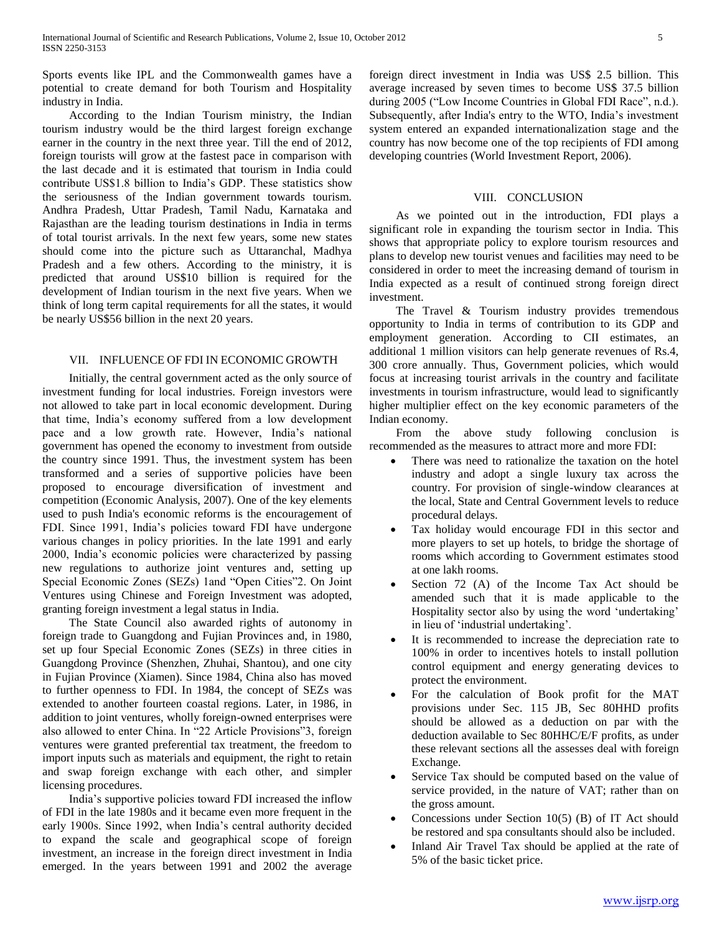Sports events like IPL and the Commonwealth games have a potential to create demand for both Tourism and Hospitality industry in India.

 According to the Indian Tourism ministry, the Indian tourism industry would be the third largest foreign exchange earner in the country in the next three year. Till the end of 2012, foreign tourists will grow at the fastest pace in comparison with the last decade and it is estimated that tourism in India could contribute US\$1.8 billion to India"s GDP. These statistics show the seriousness of the Indian government towards tourism. Andhra Pradesh, Uttar Pradesh, Tamil Nadu, Karnataka and Rajasthan are the leading tourism destinations in India in terms of total tourist arrivals. In the next few years, some new states should come into the picture such as Uttaranchal, Madhya Pradesh and a few others. According to the ministry, it is predicted that around US\$10 billion is required for the development of Indian tourism in the next five years. When we think of long term capital requirements for all the states, it would be nearly US\$56 billion in the next 20 years.

## VII. INFLUENCE OF FDI IN ECONOMIC GROWTH

 Initially, the central government acted as the only source of investment funding for local industries. Foreign investors were not allowed to take part in local economic development. During that time, India"s economy suffered from a low development pace and a low growth rate. However, India"s national government has opened the economy to investment from outside the country since 1991. Thus, the investment system has been transformed and a series of supportive policies have been proposed to encourage diversification of investment and competition (Economic Analysis, 2007). One of the key elements used to push India's economic reforms is the encouragement of FDI. Since 1991, India"s policies toward FDI have undergone various changes in policy priorities. In the late 1991 and early 2000, India"s economic policies were characterized by passing new regulations to authorize joint ventures and, setting up Special Economic Zones (SEZs) 1and "Open Cities"2. On Joint Ventures using Chinese and Foreign Investment was adopted, granting foreign investment a legal status in India.

 The State Council also awarded rights of autonomy in foreign trade to Guangdong and Fujian Provinces and, in 1980, set up four Special Economic Zones (SEZs) in three cities in Guangdong Province (Shenzhen, Zhuhai, Shantou), and one city in Fujian Province (Xiamen). Since 1984, China also has moved to further openness to FDI. In 1984, the concept of SEZs was extended to another fourteen coastal regions. Later, in 1986, in addition to joint ventures, wholly foreign-owned enterprises were also allowed to enter China. In "22 Article Provisions"3, foreign ventures were granted preferential tax treatment, the freedom to import inputs such as materials and equipment, the right to retain and swap foreign exchange with each other, and simpler licensing procedures.

 India"s supportive policies toward FDI increased the inflow of FDI in the late 1980s and it became even more frequent in the early 1900s. Since 1992, when India"s central authority decided to expand the scale and geographical scope of foreign investment, an increase in the foreign direct investment in India emerged. In the years between 1991 and 2002 the average

foreign direct investment in India was US\$ 2.5 billion. This average increased by seven times to become US\$ 37.5 billion during 2005 ("Low Income Countries in Global FDI Race", n.d.). Subsequently, after India's entry to the WTO, India"s investment system entered an expanded internationalization stage and the country has now become one of the top recipients of FDI among developing countries (World Investment Report, 2006).

# VIII. CONCLUSION

 As we pointed out in the introduction, FDI plays a significant role in expanding the tourism sector in India. This shows that appropriate policy to explore tourism resources and plans to develop new tourist venues and facilities may need to be considered in order to meet the increasing demand of tourism in India expected as a result of continued strong foreign direct investment.

The Travel & Tourism industry provides tremendous opportunity to India in terms of contribution to its GDP and employment generation. According to CII estimates, an additional 1 million visitors can help generate revenues of Rs.4, 300 crore annually. Thus, Government policies, which would focus at increasing tourist arrivals in the country and facilitate investments in tourism infrastructure, would lead to significantly higher multiplier effect on the key economic parameters of the Indian economy.

 From the above study following conclusion is recommended as the measures to attract more and more FDI:

- There was need to rationalize the taxation on the hotel industry and adopt a single luxury tax across the country. For provision of single-window clearances at the local, State and Central Government levels to reduce procedural delays.
- Tax holiday would encourage FDI in this sector and more players to set up hotels, to bridge the shortage of rooms which according to Government estimates stood at one lakh rooms.
- Section 72 (A) of the Income Tax Act should be amended such that it is made applicable to the Hospitality sector also by using the word 'undertaking' in lieu of "industrial undertaking".
- It is recommended to increase the depreciation rate to 100% in order to incentives hotels to install pollution control equipment and energy generating devices to protect the environment.
- For the calculation of Book profit for the MAT provisions under Sec. 115 JB, Sec 80HHD profits should be allowed as a deduction on par with the deduction available to Sec 80HHC/E/F profits, as under these relevant sections all the assesses deal with foreign Exchange.
- Service Tax should be computed based on the value of service provided, in the nature of VAT; rather than on the gross amount.
- Concessions under Section 10(5) (B) of IT Act should be restored and spa consultants should also be included.
- Inland Air Travel Tax should be applied at the rate of 5% of the basic ticket price.